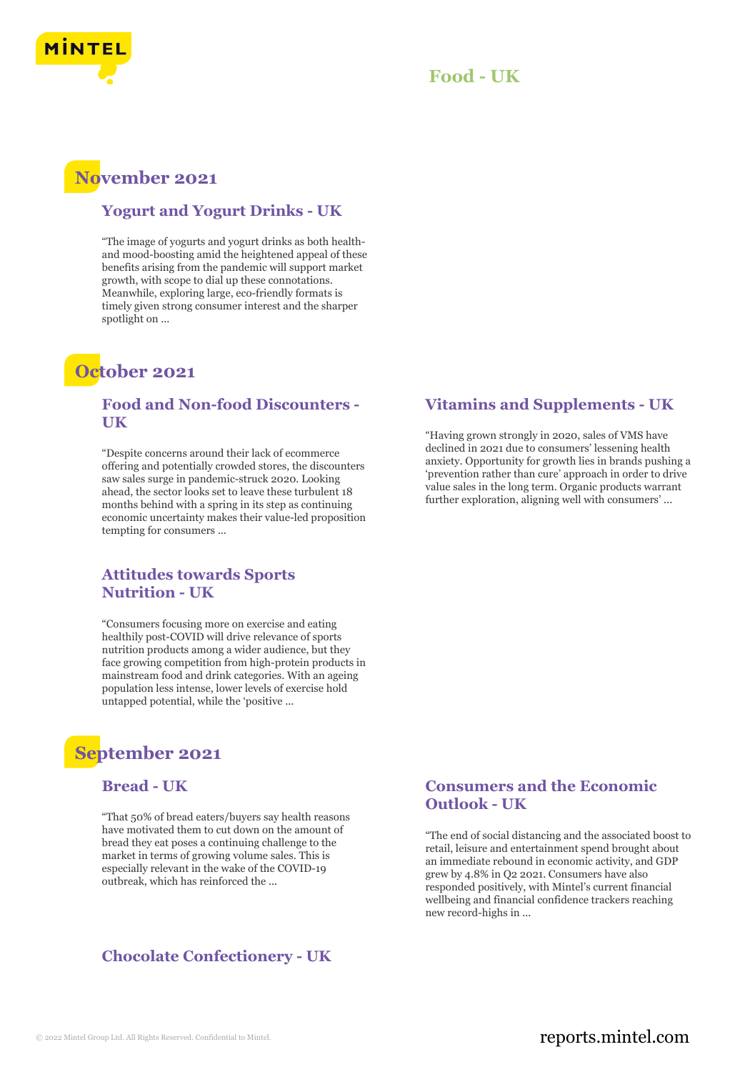

#### **Food - UK**

### **November 2021**

#### **Yogurt and Yogurt Drinks - UK**

"The image of yogurts and yogurt drinks as both healthand mood-boosting amid the heightened appeal of these benefits arising from the pandemic will support market growth, with scope to dial up these connotations. Meanwhile, exploring large, eco-friendly formats is timely given strong consumer interest and the sharper spotlight on ...

### **October 2021**

#### **Food and Non-food Discounters - UK**

"Despite concerns around their lack of ecommerce offering and potentially crowded stores, the discounters saw sales surge in pandemic-struck 2020. Looking ahead, the sector looks set to leave these turbulent 18 months behind with a spring in its step as continuing economic uncertainty makes their value-led proposition tempting for consumers ...

#### **Attitudes towards Sports Nutrition - UK**

"Consumers focusing more on exercise and eating healthily post-COVID will drive relevance of sports nutrition products among a wider audience, but they face growing competition from high-protein products in mainstream food and drink categories. With an ageing population less intense, lower levels of exercise hold untapped potential, while the 'positive ...

## **September 2021**

#### **Bread - UK**

"That 50% of bread eaters/buyers say health reasons have motivated them to cut down on the amount of bread they eat poses a continuing challenge to the market in terms of growing volume sales. This is especially relevant in the wake of the COVID-19 outbreak, which has reinforced the ...

#### **Chocolate Confectionery - UK**

#### **Vitamins and Supplements - UK**

"Having grown strongly in 2020, sales of VMS have declined in 2021 due to consumers' lessening health anxiety. Opportunity for growth lies in brands pushing a 'prevention rather than cure' approach in order to drive value sales in the long term. Organic products warrant further exploration, aligning well with consumers' ...

#### **Consumers and the Economic Outlook - UK**

"The end of social distancing and the associated boost to retail, leisure and entertainment spend brought about an immediate rebound in economic activity, and GDP grew by 4.8% in Q2 2021. Consumers have also responded positively, with Mintel's current financial wellbeing and financial confidence trackers reaching new record-highs in ...

#### © 2022 Mintel Group Ltd. All Rights Reserved. Confidential to Mintel.  $\blacksquare$  reports.mintel.com